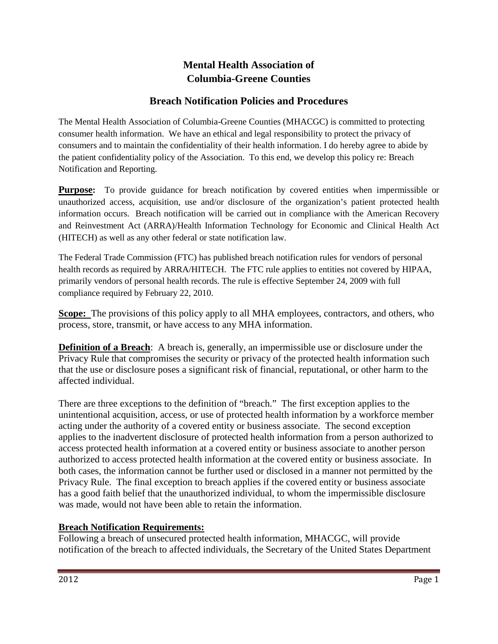# **Mental Health Association of Columbia-Greene Counties**

## **Breach Notification Policies and Procedures**

The Mental Health Association of Columbia-Greene Counties (MHACGC) is committed to protecting consumer health information. We have an ethical and legal responsibility to protect the privacy of consumers and to maintain the confidentiality of their health information. I do hereby agree to abide by the patient confidentiality policy of the Association. To this end, we develop this policy re: Breach Notification and Reporting.

**Purpose:** To provide guidance for breach notification by covered entities when impermissible or unauthorized access, acquisition, use and/or disclosure of the organization's patient protected health information occurs. Breach notification will be carried out in compliance with the American Recovery and Reinvestment Act (ARRA)/Health Information Technology for Economic and Clinical Health Act (HITECH) as well as any other federal or state notification law.

The Federal Trade Commission (FTC) has published breach notification rules for vendors of personal health records as required by ARRA/HITECH. The FTC rule applies to entities not covered by HIPAA, primarily vendors of personal health records. The rule is effective September 24, 2009 with full compliance required by February 22, 2010.

Scope: The provisions of this policy apply to all MHA employees, contractors, and others, who process, store, transmit, or have access to any MHA information.

**Definition of a Breach**: A breach is, generally, an impermissible use or disclosure under the Privacy Rule that compromises the security or privacy of the protected health information such that the use or disclosure poses a significant risk of financial, reputational, or other harm to the affected individual.

There are three exceptions to the definition of "breach." The first exception applies to the unintentional acquisition, access, or use of protected health information by a workforce member acting under the authority of a covered entity or business associate. The second exception applies to the inadvertent disclosure of protected health information from a person authorized to access protected health information at a covered entity or business associate to another person authorized to access protected health information at the covered entity or business associate. In both cases, the information cannot be further used or disclosed in a manner not permitted by the Privacy Rule. The final exception to breach applies if the covered entity or business associate has a good faith belief that the unauthorized individual, to whom the impermissible disclosure was made, would not have been able to retain the information.

#### **Breach Notification Requirements:**

Following a breach of unsecured protected health information, MHACGC, will provide notification of the breach to affected individuals, the Secretary of the United States Department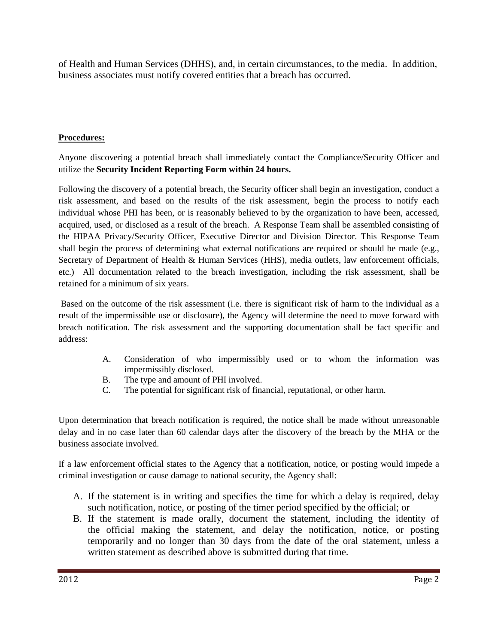of Health and Human Services (DHHS), and, in certain circumstances, to the media. In addition, business associates must notify covered entities that a breach has occurred.

### **Procedures:**

Anyone discovering a potential breach shall immediately contact the Compliance/Security Officer and utilize the **Security Incident Reporting Form within 24 hours.** 

Following the discovery of a potential breach, the Security officer shall begin an investigation, conduct a risk assessment, and based on the results of the risk assessment, begin the process to notify each individual whose PHI has been, or is reasonably believed to by the organization to have been, accessed, acquired, used, or disclosed as a result of the breach. A Response Team shall be assembled consisting of the HIPAA Privacy/Security Officer, Executive Director and Division Director. This Response Team shall begin the process of determining what external notifications are required or should be made (e.g., Secretary of Department of Health & Human Services (HHS), media outlets, law enforcement officials, etc.) All documentation related to the breach investigation, including the risk assessment, shall be retained for a minimum of six years.

Based on the outcome of the risk assessment (i.e. there is significant risk of harm to the individual as a result of the impermissible use or disclosure), the Agency will determine the need to move forward with breach notification. The risk assessment and the supporting documentation shall be fact specific and address:

- A. Consideration of who impermissibly used or to whom the information was impermissibly disclosed.
- B. The type and amount of PHI involved.
- C. The potential for significant risk of financial, reputational, or other harm.

Upon determination that breach notification is required, the notice shall be made without unreasonable delay and in no case later than 60 calendar days after the discovery of the breach by the MHA or the business associate involved.

If a law enforcement official states to the Agency that a notification, notice, or posting would impede a criminal investigation or cause damage to national security, the Agency shall:

- A. If the statement is in writing and specifies the time for which a delay is required, delay such notification, notice, or posting of the timer period specified by the official; or
- B. If the statement is made orally, document the statement, including the identity of the official making the statement, and delay the notification, notice, or posting temporarily and no longer than 30 days from the date of the oral statement, unless a written statement as described above is submitted during that time.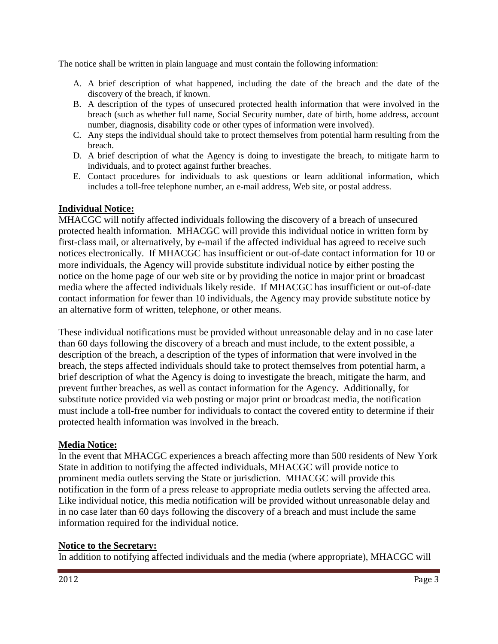The notice shall be written in plain language and must contain the following information:

- A. A brief description of what happened, including the date of the breach and the date of the discovery of the breach, if known.
- B. A description of the types of unsecured protected health information that were involved in the breach (such as whether full name, Social Security number, date of birth, home address, account number, diagnosis, disability code or other types of information were involved).
- C. Any steps the individual should take to protect themselves from potential harm resulting from the breach.
- D. A brief description of what the Agency is doing to investigate the breach, to mitigate harm to individuals, and to protect against further breaches.
- E. Contact procedures for individuals to ask questions or learn additional information, which includes a toll-free telephone number, an e-mail address, Web site, or postal address.

### **Individual Notice:**

MHACGC will notify affected individuals following the discovery of a breach of unsecured protected health information. MHACGC will provide this individual notice in written form by first-class mail, or alternatively, by e-mail if the affected individual has agreed to receive such notices electronically. If MHACGC has insufficient or out-of-date contact information for 10 or more individuals, the Agency will provide substitute individual notice by either posting the notice on the home page of our web site or by providing the notice in major print or broadcast media where the affected individuals likely reside. If MHACGC has insufficient or out-of-date contact information for fewer than 10 individuals, the Agency may provide substitute notice by an alternative form of written, telephone, or other means.

These individual notifications must be provided without unreasonable delay and in no case later than 60 days following the discovery of a breach and must include, to the extent possible, a description of the breach, a description of the types of information that were involved in the breach, the steps affected individuals should take to protect themselves from potential harm, a brief description of what the Agency is doing to investigate the breach, mitigate the harm, and prevent further breaches, as well as contact information for the Agency. Additionally, for substitute notice provided via web posting or major print or broadcast media, the notification must include a toll-free number for individuals to contact the covered entity to determine if their protected health information was involved in the breach.

#### **Media Notice:**

In the event that MHACGC experiences a breach affecting more than 500 residents of New York State in addition to notifying the affected individuals, MHACGC will provide notice to prominent media outlets serving the State or jurisdiction. MHACGC will provide this notification in the form of a press release to appropriate media outlets serving the affected area. Like individual notice, this media notification will be provided without unreasonable delay and in no case later than 60 days following the discovery of a breach and must include the same information required for the individual notice.

#### **Notice to the Secretary:**

In addition to notifying affected individuals and the media (where appropriate), MHACGC will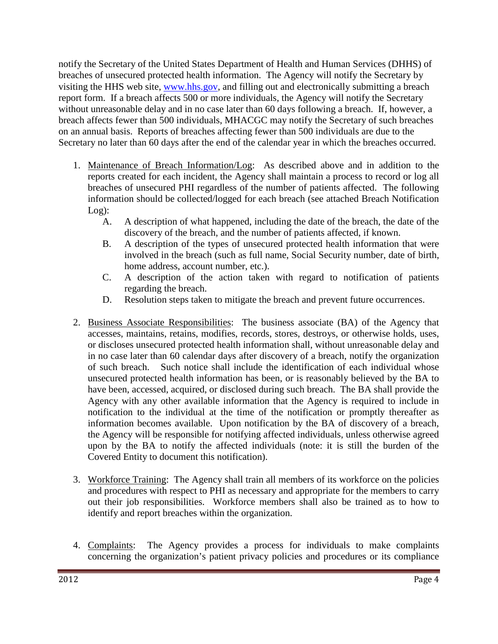notify the Secretary of the United States Department of Health and Human Services (DHHS) of breaches of unsecured protected health information. The Agency will notify the Secretary by visiting the HHS web site, [www.hhs.gov,](http://www.hhs.gov/) and filling out and electronically submitting a breach report form. If a breach affects 500 or more individuals, the Agency will notify the Secretary without unreasonable delay and in no case later than 60 days following a breach. If, however, a breach affects fewer than 500 individuals, MHACGC may notify the Secretary of such breaches on an annual basis. Reports of breaches affecting fewer than 500 individuals are due to the Secretary no later than 60 days after the end of the calendar year in which the breaches occurred.

- 1. Maintenance of Breach Information/Log: As described above and in addition to the reports created for each incident, the Agency shall maintain a process to record or log all breaches of unsecured PHI regardless of the number of patients affected. The following information should be collected/logged for each breach (see attached Breach Notification Log):
	- A. A description of what happened, including the date of the breach, the date of the discovery of the breach, and the number of patients affected, if known.
	- B. A description of the types of unsecured protected health information that were involved in the breach (such as full name, Social Security number, date of birth, home address, account number, etc.).
	- C. A description of the action taken with regard to notification of patients regarding the breach.
	- D. Resolution steps taken to mitigate the breach and prevent future occurrences.
- 2. Business Associate Responsibilities: The business associate (BA) of the Agency that accesses, maintains, retains, modifies, records, stores, destroys, or otherwise holds, uses, or discloses unsecured protected health information shall, without unreasonable delay and in no case later than 60 calendar days after discovery of a breach, notify the organization of such breach. Such notice shall include the identification of each individual whose unsecured protected health information has been, or is reasonably believed by the BA to have been, accessed, acquired, or disclosed during such breach. The BA shall provide the Agency with any other available information that the Agency is required to include in notification to the individual at the time of the notification or promptly thereafter as information becomes available. Upon notification by the BA of discovery of a breach, the Agency will be responsible for notifying affected individuals, unless otherwise agreed upon by the BA to notify the affected individuals (note: it is still the burden of the Covered Entity to document this notification).
- 3. Workforce Training: The Agency shall train all members of its workforce on the policies and procedures with respect to PHI as necessary and appropriate for the members to carry out their job responsibilities. Workforce members shall also be trained as to how to identify and report breaches within the organization.
- 4. Complaints: The Agency provides a process for individuals to make complaints concerning the organization's patient privacy policies and procedures or its compliance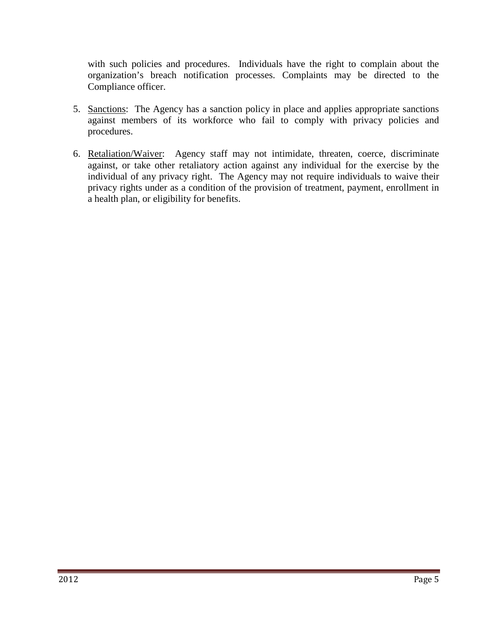with such policies and procedures. Individuals have the right to complain about the organization's breach notification processes. Complaints may be directed to the Compliance officer.

- 5. Sanctions: The Agency has a sanction policy in place and applies appropriate sanctions against members of its workforce who fail to comply with privacy policies and procedures.
- 6. Retaliation/Waiver: Agency staff may not intimidate, threaten, coerce, discriminate against, or take other retaliatory action against any individual for the exercise by the individual of any privacy right. The Agency may not require individuals to waive their privacy rights under as a condition of the provision of treatment, payment, enrollment in a health plan, or eligibility for benefits.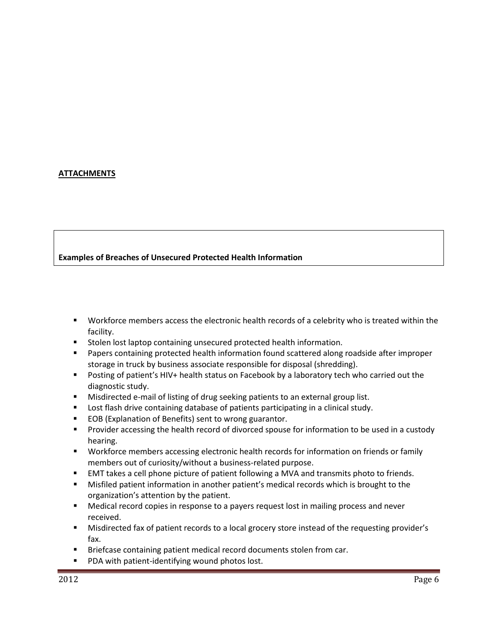#### **ATTACHMENTS**

#### **Examples of Breaches of Unsecured Protected Health Information**

- Workforce members access the electronic health records of a celebrity who is treated within the facility.
- **Stolen lost laptop containing unsecured protected health information.**
- **Papers containing protected health information found scattered along roadside after improper** storage in truck by business associate responsible for disposal (shredding).
- **Posting of patient's HIV+ health status on Facebook by a laboratory tech who carried out the** diagnostic study.
- **Misdirected e-mail of listing of drug seeking patients to an external group list.**
- **Lost flash drive containing database of patients participating in a clinical study.**
- EOB (Explanation of Benefits) sent to wrong guarantor.
- **Provider accessing the health record of divorced spouse for information to be used in a custody** hearing.
- Workforce members accessing electronic health records for information on friends or family members out of curiosity/without a business-related purpose.
- EMT takes a cell phone picture of patient following a MVA and transmits photo to friends.
- Misfiled patient information in another patient's medical records which is brought to the organization's attention by the patient.
- Medical record copies in response to a payers request lost in mailing process and never received.
- Misdirected fax of patient records to a local grocery store instead of the requesting provider's fax.
- Briefcase containing patient medical record documents stolen from car.
- **PDA with patient-identifying wound photos lost.**